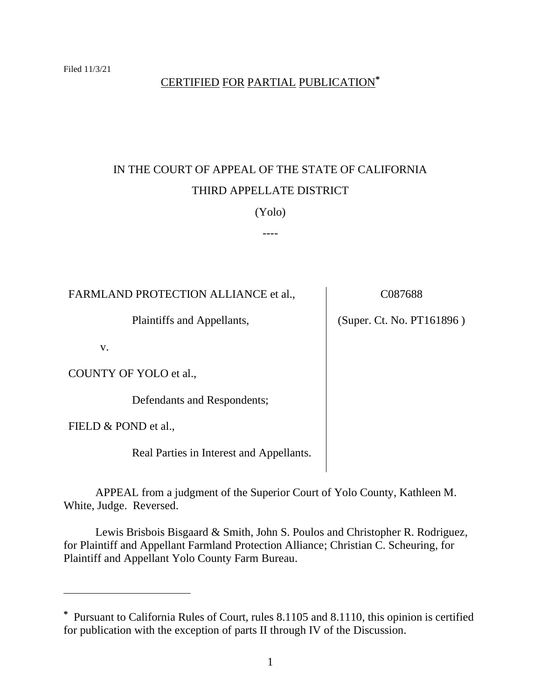## CERTIFIED FOR PARTIAL PUBLICATION**\***

# IN THE COURT OF APPEAL OF THE STATE OF CALIFORNIA THIRD APPELLATE DISTRICT

## (Yolo)

----

| FARMLAND PROTECTION ALLIANCE et al.,     | C087688                   |
|------------------------------------------|---------------------------|
| Plaintiffs and Appellants,               | (Super. Ct. No. PT161896) |
| V.                                       |                           |
| COUNTY OF YOLO et al.,                   |                           |
| Defendants and Respondents;              |                           |
| FIELD & POND et al.,                     |                           |
| Real Parties in Interest and Appellants. |                           |
|                                          |                           |

APPEAL from a judgment of the Superior Court of Yolo County, Kathleen M. White, Judge. Reversed.

Lewis Brisbois Bisgaard & Smith, John S. Poulos and Christopher R. Rodriguez, for Plaintiff and Appellant Farmland Protection Alliance; Christian C. Scheuring, for Plaintiff and Appellant Yolo County Farm Bureau.

**<sup>\*</sup>** Pursuant to California Rules of Court, rules 8.1105 and 8.1110, this opinion is certified for publication with the exception of parts II through IV of the Discussion.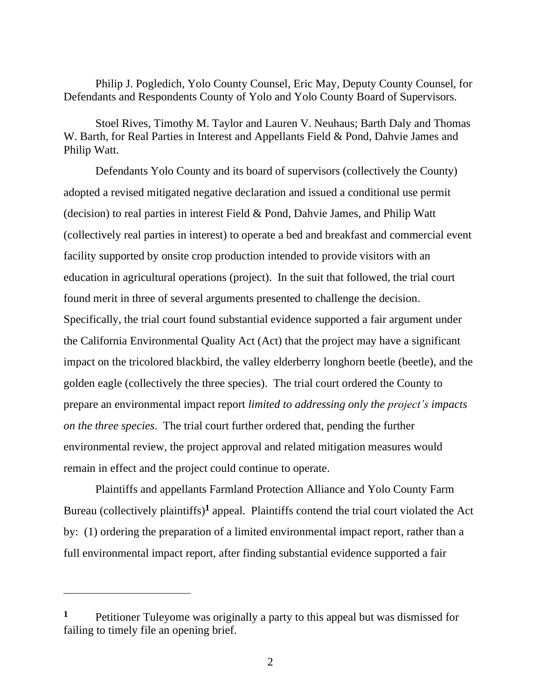Philip J. Pogledich, Yolo County Counsel, Eric May, Deputy County Counsel, for Defendants and Respondents County of Yolo and Yolo County Board of Supervisors.

Stoel Rives, Timothy M. Taylor and Lauren V. Neuhaus; Barth Daly and Thomas W. Barth, for Real Parties in Interest and Appellants Field & Pond, Dahvie James and Philip Watt.

Defendants Yolo County and its board of supervisors (collectively the County) adopted a revised mitigated negative declaration and issued a conditional use permit (decision) to real parties in interest Field & Pond, Dahvie James, and Philip Watt (collectively real parties in interest) to operate a bed and breakfast and commercial event facility supported by onsite crop production intended to provide visitors with an education in agricultural operations (project). In the suit that followed, the trial court found merit in three of several arguments presented to challenge the decision. Specifically, the trial court found substantial evidence supported a fair argument under the California Environmental Quality Act (Act) that the project may have a significant impact on the tricolored blackbird, the valley elderberry longhorn beetle (beetle), and the golden eagle (collectively the three species). The trial court ordered the County to prepare an environmental impact report *limited to addressing only the project's impacts on the three species*. The trial court further ordered that, pending the further environmental review, the project approval and related mitigation measures would remain in effect and the project could continue to operate.

Plaintiffs and appellants Farmland Protection Alliance and Yolo County Farm Bureau (collectively plaintiffs)<sup>1</sup> appeal. Plaintiffs contend the trial court violated the Act by: (1) ordering the preparation of a limited environmental impact report, rather than a full environmental impact report, after finding substantial evidence supported a fair

**<sup>1</sup>** Petitioner Tuleyome was originally a party to this appeal but was dismissed for failing to timely file an opening brief.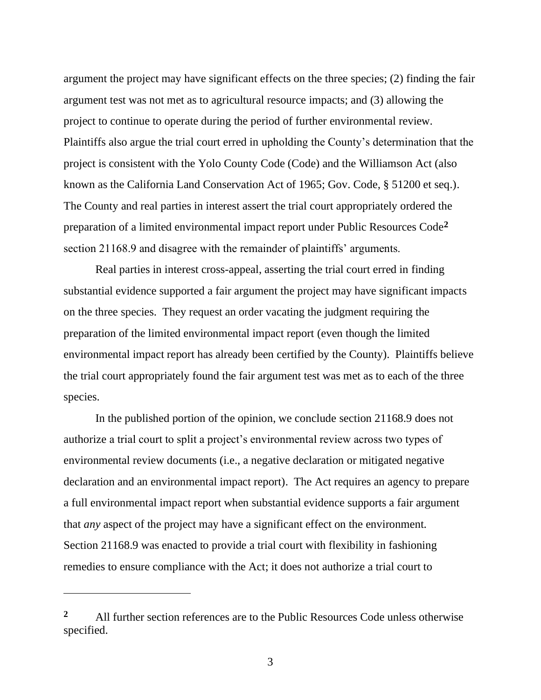argument the project may have significant effects on the three species; (2) finding the fair argument test was not met as to agricultural resource impacts; and (3) allowing the project to continue to operate during the period of further environmental review. Plaintiffs also argue the trial court erred in upholding the County's determination that the project is consistent with the Yolo County Code (Code) and the Williamson Act (also known as the California Land Conservation Act of 1965; Gov. Code, § 51200 et seq.). The County and real parties in interest assert the trial court appropriately ordered the preparation of a limited environmental impact report under Public Resources Code**<sup>2</sup>** section 21168.9 and disagree with the remainder of plaintiffs' arguments.

Real parties in interest cross-appeal, asserting the trial court erred in finding substantial evidence supported a fair argument the project may have significant impacts on the three species. They request an order vacating the judgment requiring the preparation of the limited environmental impact report (even though the limited environmental impact report has already been certified by the County). Plaintiffs believe the trial court appropriately found the fair argument test was met as to each of the three species.

In the published portion of the opinion, we conclude section 21168.9 does not authorize a trial court to split a project's environmental review across two types of environmental review documents (i.e., a negative declaration or mitigated negative declaration and an environmental impact report). The Act requires an agency to prepare a full environmental impact report when substantial evidence supports a fair argument that *any* aspect of the project may have a significant effect on the environment. Section 21168.9 was enacted to provide a trial court with flexibility in fashioning remedies to ensure compliance with the Act; it does not authorize a trial court to

**<sup>2</sup>** All further section references are to the Public Resources Code unless otherwise specified.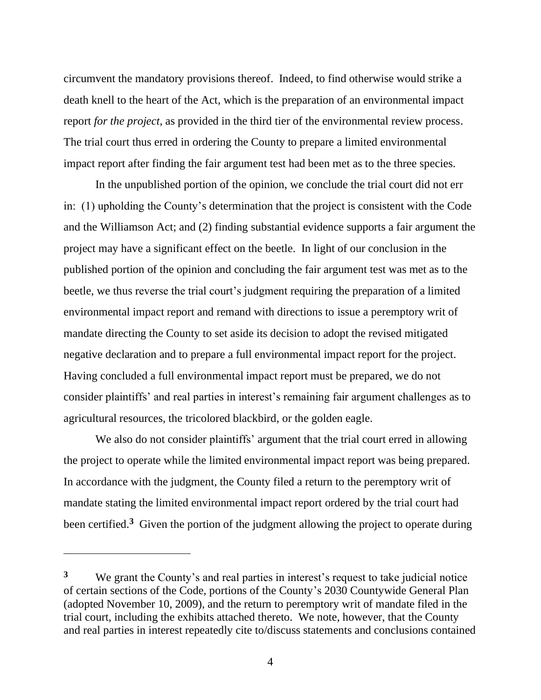circumvent the mandatory provisions thereof. Indeed, to find otherwise would strike a death knell to the heart of the Act, which is the preparation of an environmental impact report *for the project*, as provided in the third tier of the environmental review process. The trial court thus erred in ordering the County to prepare a limited environmental impact report after finding the fair argument test had been met as to the three species.

In the unpublished portion of the opinion, we conclude the trial court did not err in: (1) upholding the County's determination that the project is consistent with the Code and the Williamson Act; and (2) finding substantial evidence supports a fair argument the project may have a significant effect on the beetle. In light of our conclusion in the published portion of the opinion and concluding the fair argument test was met as to the beetle, we thus reverse the trial court's judgment requiring the preparation of a limited environmental impact report and remand with directions to issue a peremptory writ of mandate directing the County to set aside its decision to adopt the revised mitigated negative declaration and to prepare a full environmental impact report for the project. Having concluded a full environmental impact report must be prepared, we do not consider plaintiffs' and real parties in interest's remaining fair argument challenges as to agricultural resources, the tricolored blackbird, or the golden eagle.

We also do not consider plaintiffs' argument that the trial court erred in allowing the project to operate while the limited environmental impact report was being prepared. In accordance with the judgment, the County filed a return to the peremptory writ of mandate stating the limited environmental impact report ordered by the trial court had been certified.**<sup>3</sup>** Given the portion of the judgment allowing the project to operate during

**<sup>3</sup>** We grant the County's and real parties in interest's request to take judicial notice of certain sections of the Code, portions of the County's 2030 Countywide General Plan (adopted November 10, 2009), and the return to peremptory writ of mandate filed in the trial court, including the exhibits attached thereto. We note, however, that the County and real parties in interest repeatedly cite to/discuss statements and conclusions contained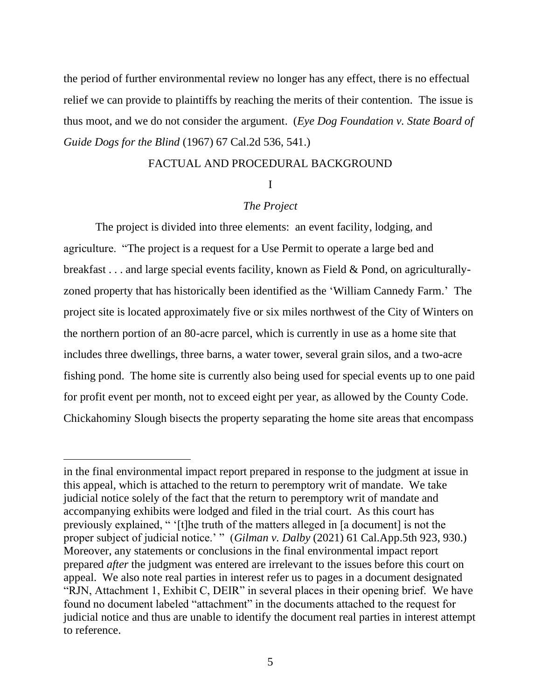the period of further environmental review no longer has any effect, there is no effectual relief we can provide to plaintiffs by reaching the merits of their contention. The issue is thus moot, and we do not consider the argument. (*Eye Dog Foundation v. State Board of Guide Dogs for the Blind* (1967) 67 Cal.2d 536, 541.)

### FACTUAL AND PROCEDURAL BACKGROUND

### I

## *The Project*

The project is divided into three elements: an event facility, lodging, and agriculture. "The project is a request for a Use Permit to operate a large bed and breakfast . . . and large special events facility, known as Field & Pond, on agriculturallyzoned property that has historically been identified as the 'William Cannedy Farm.' The project site is located approximately five or six miles northwest of the City of Winters on the northern portion of an 80-acre parcel, which is currently in use as a home site that includes three dwellings, three barns, a water tower, several grain silos, and a two-acre fishing pond. The home site is currently also being used for special events up to one paid for profit event per month, not to exceed eight per year, as allowed by the County Code. Chickahominy Slough bisects the property separating the home site areas that encompass

in the final environmental impact report prepared in response to the judgment at issue in this appeal, which is attached to the return to peremptory writ of mandate. We take judicial notice solely of the fact that the return to peremptory writ of mandate and accompanying exhibits were lodged and filed in the trial court. As this court has previously explained, " '[t]he truth of the matters alleged in [a document] is not the proper subject of judicial notice.' " (*Gilman v. Dalby* (2021) 61 Cal.App.5th 923, 930.) Moreover, any statements or conclusions in the final environmental impact report prepared *after* the judgment was entered are irrelevant to the issues before this court on appeal. We also note real parties in interest refer us to pages in a document designated "RJN, Attachment 1, Exhibit C, DEIR" in several places in their opening brief. We have found no document labeled "attachment" in the documents attached to the request for judicial notice and thus are unable to identify the document real parties in interest attempt to reference.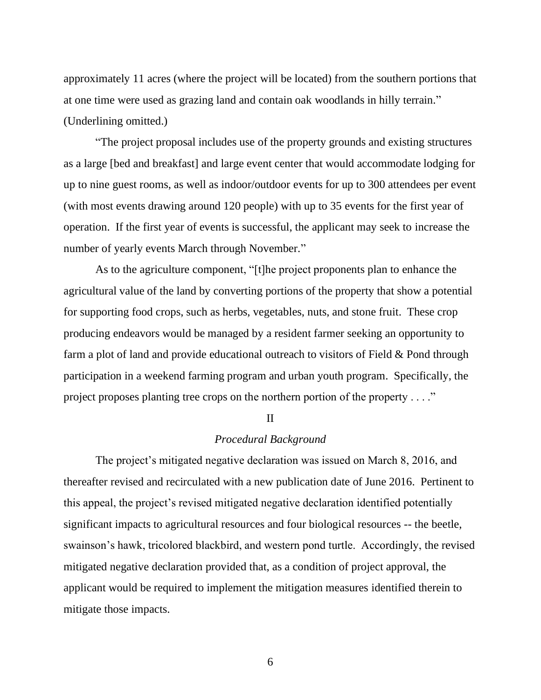approximately 11 acres (where the project will be located) from the southern portions that at one time were used as grazing land and contain oak woodlands in hilly terrain." (Underlining omitted.)

"The project proposal includes use of the property grounds and existing structures as a large [bed and breakfast] and large event center that would accommodate lodging for up to nine guest rooms, as well as indoor/outdoor events for up to 300 attendees per event (with most events drawing around 120 people) with up to 35 events for the first year of operation. If the first year of events is successful, the applicant may seek to increase the number of yearly events March through November."

As to the agriculture component, "[t]he project proponents plan to enhance the agricultural value of the land by converting portions of the property that show a potential for supporting food crops, such as herbs, vegetables, nuts, and stone fruit. These crop producing endeavors would be managed by a resident farmer seeking an opportunity to farm a plot of land and provide educational outreach to visitors of Field & Pond through participation in a weekend farming program and urban youth program. Specifically, the project proposes planting tree crops on the northern portion of the property . . . ."

#### II

## *Procedural Background*

The project's mitigated negative declaration was issued on March 8, 2016, and thereafter revised and recirculated with a new publication date of June 2016. Pertinent to this appeal, the project's revised mitigated negative declaration identified potentially significant impacts to agricultural resources and four biological resources -- the beetle, swainson's hawk, tricolored blackbird, and western pond turtle. Accordingly, the revised mitigated negative declaration provided that, as a condition of project approval, the applicant would be required to implement the mitigation measures identified therein to mitigate those impacts.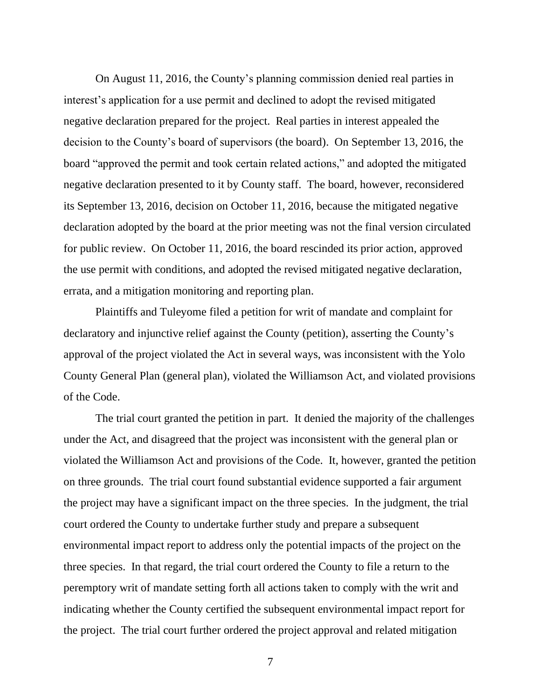On August 11, 2016, the County's planning commission denied real parties in interest's application for a use permit and declined to adopt the revised mitigated negative declaration prepared for the project. Real parties in interest appealed the decision to the County's board of supervisors (the board). On September 13, 2016, the board "approved the permit and took certain related actions," and adopted the mitigated negative declaration presented to it by County staff. The board, however, reconsidered its September 13, 2016, decision on October 11, 2016, because the mitigated negative declaration adopted by the board at the prior meeting was not the final version circulated for public review. On October 11, 2016, the board rescinded its prior action, approved the use permit with conditions, and adopted the revised mitigated negative declaration, errata, and a mitigation monitoring and reporting plan.

Plaintiffs and Tuleyome filed a petition for writ of mandate and complaint for declaratory and injunctive relief against the County (petition), asserting the County's approval of the project violated the Act in several ways, was inconsistent with the Yolo County General Plan (general plan), violated the Williamson Act, and violated provisions of the Code.

The trial court granted the petition in part. It denied the majority of the challenges under the Act, and disagreed that the project was inconsistent with the general plan or violated the Williamson Act and provisions of the Code. It, however, granted the petition on three grounds. The trial court found substantial evidence supported a fair argument the project may have a significant impact on the three species. In the judgment, the trial court ordered the County to undertake further study and prepare a subsequent environmental impact report to address only the potential impacts of the project on the three species. In that regard, the trial court ordered the County to file a return to the peremptory writ of mandate setting forth all actions taken to comply with the writ and indicating whether the County certified the subsequent environmental impact report for the project. The trial court further ordered the project approval and related mitigation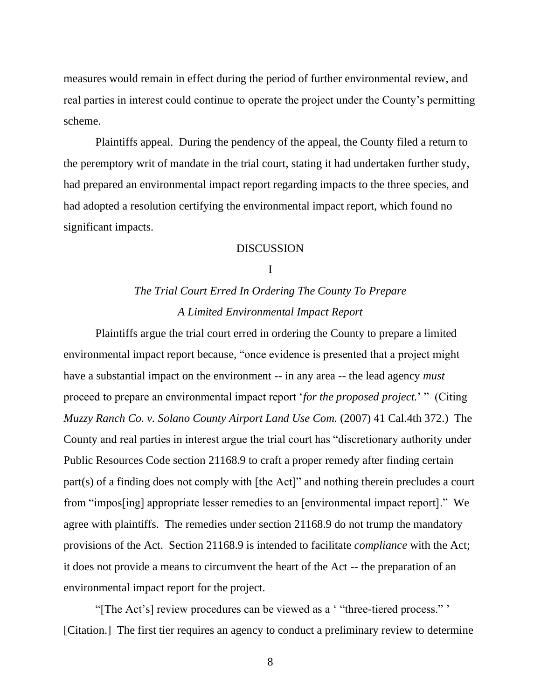measures would remain in effect during the period of further environmental review, and real parties in interest could continue to operate the project under the County's permitting scheme.

Plaintiffs appeal. During the pendency of the appeal, the County filed a return to the peremptory writ of mandate in the trial court, stating it had undertaken further study, had prepared an environmental impact report regarding impacts to the three species, and had adopted a resolution certifying the environmental impact report, which found no significant impacts.

### DISCUSSION

#### I

# *The Trial Court Erred In Ordering The County To Prepare A Limited Environmental Impact Report*

Plaintiffs argue the trial court erred in ordering the County to prepare a limited environmental impact report because, "once evidence is presented that a project might have a substantial impact on the environment -- in any area -- the lead agency *must* proceed to prepare an environmental impact report '*for the proposed project.*' " (Citing *Muzzy Ranch Co. v. Solano County Airport Land Use Com.* (2007) 41 Cal.4th 372.) The County and real parties in interest argue the trial court has "discretionary authority under Public Resources Code section 21168.9 to craft a proper remedy after finding certain part(s) of a finding does not comply with [the Act]" and nothing therein precludes a court from "impos[ing] appropriate lesser remedies to an [environmental impact report]." We agree with plaintiffs. The remedies under section 21168.9 do not trump the mandatory provisions of the Act. Section 21168.9 is intended to facilitate *compliance* with the Act; it does not provide a means to circumvent the heart of the Act -- the preparation of an environmental impact report for the project.

"[The Act's] review procedures can be viewed as a ' "three-tiered process." ' [Citation.] The first tier requires an agency to conduct a preliminary review to determine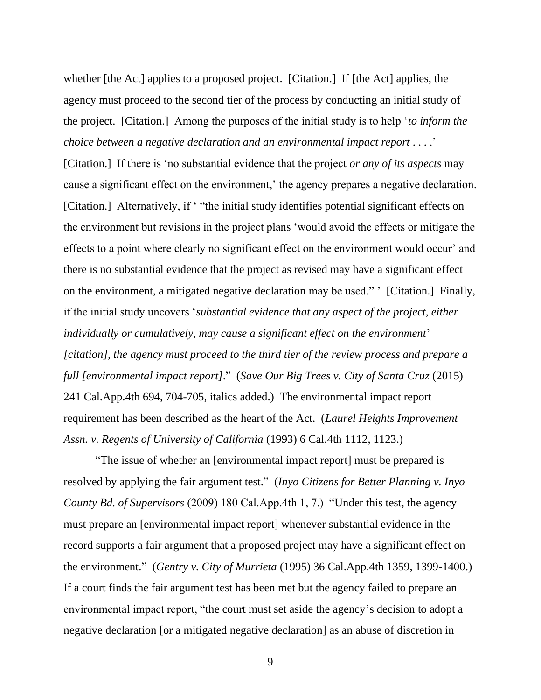whether [the Act] applies to a proposed project. [Citation.] If [the Act] applies, the agency must proceed to the second tier of the process by conducting an initial study of the project. [Citation.] Among the purposes of the initial study is to help '*to inform the choice between a negative declaration and an environmental impact report* . . . .'

[Citation.] If there is 'no substantial evidence that the project *or any of its aspects* may cause a significant effect on the environment,' the agency prepares a negative declaration. [Citation.] Alternatively, if ' "the initial study identifies potential significant effects on the environment but revisions in the project plans 'would avoid the effects or mitigate the effects to a point where clearly no significant effect on the environment would occur' and there is no substantial evidence that the project as revised may have a significant effect on the environment, a mitigated negative declaration may be used." ' [Citation.] Finally, if the initial study uncovers '*substantial evidence that any aspect of the project, either individually or cumulatively, may cause a significant effect on the environment*' *[citation], the agency must proceed to the third tier of the review process and prepare a full [environmental impact report]*." (*Save Our Big Trees v. City of Santa Cruz* (2015) 241 Cal.App.4th 694, 704-705, italics added.) The environmental impact report requirement has been described as the heart of the Act. (*Laurel Heights Improvement Assn. v. Regents of University of California* (1993) 6 Cal.4th 1112, 1123.)

"The issue of whether an [environmental impact report] must be prepared is resolved by applying the fair argument test." (*Inyo Citizens for Better Planning v. Inyo County Bd. of Supervisors* (2009) 180 Cal.App.4th 1, 7.) "Under this test, the agency must prepare an [environmental impact report] whenever substantial evidence in the record supports a fair argument that a proposed project may have a significant effect on the environment." (*Gentry v. City of Murrieta* (1995) 36 Cal.App.4th 1359, 1399-1400.) If a court finds the fair argument test has been met but the agency failed to prepare an environmental impact report, "the court must set aside the agency's decision to adopt a negative declaration [or a mitigated negative declaration] as an abuse of discretion in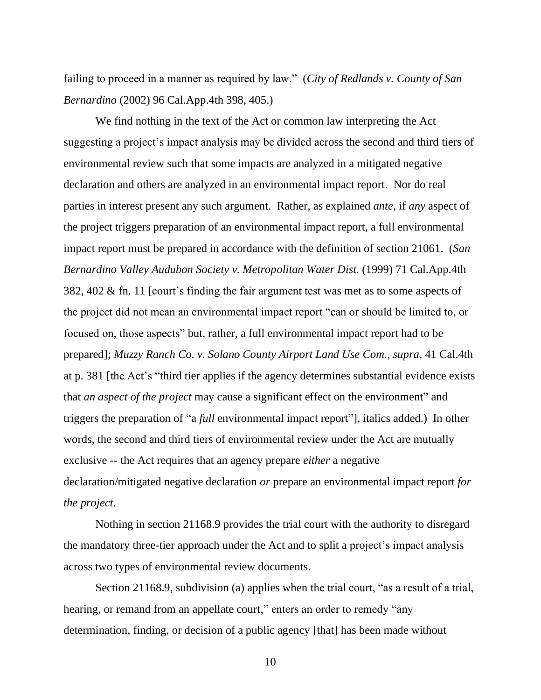failing to proceed in a manner as required by law." (*City of Redlands v. County of San Bernardino* (2002) 96 Cal.App.4th 398, 405.)

We find nothing in the text of the Act or common law interpreting the Act suggesting a project's impact analysis may be divided across the second and third tiers of environmental review such that some impacts are analyzed in a mitigated negative declaration and others are analyzed in an environmental impact report. Nor do real parties in interest present any such argument. Rather, as explained *ante*, if *any* aspect of the project triggers preparation of an environmental impact report, a full environmental impact report must be prepared in accordance with the definition of section 21061. (*San Bernardino Valley Audubon Society v. Metropolitan Water Dist.* (1999) 71 Cal.App.4th 382, 402 & fn. 11 [court's finding the fair argument test was met as to some aspects of the project did not mean an environmental impact report "can or should be limited to, or focused on, those aspects" but, rather, a full environmental impact report had to be prepared]; *Muzzy Ranch Co. v. Solano County Airport Land Use Com.*, *supra*, 41 Cal.4th at p. 381 [the Act's "third tier applies if the agency determines substantial evidence exists that *an aspect of the project* may cause a significant effect on the environment" and triggers the preparation of "a *full* environmental impact report"], italics added.) In other words, the second and third tiers of environmental review under the Act are mutually exclusive -- the Act requires that an agency prepare *either* a negative declaration/mitigated negative declaration *or* prepare an environmental impact report *for the project*.

Nothing in section 21168.9 provides the trial court with the authority to disregard the mandatory three-tier approach under the Act and to split a project's impact analysis across two types of environmental review documents.

Section 21168.9, subdivision (a) applies when the trial court, "as a result of a trial, hearing, or remand from an appellate court," enters an order to remedy "any determination, finding, or decision of a public agency [that] has been made without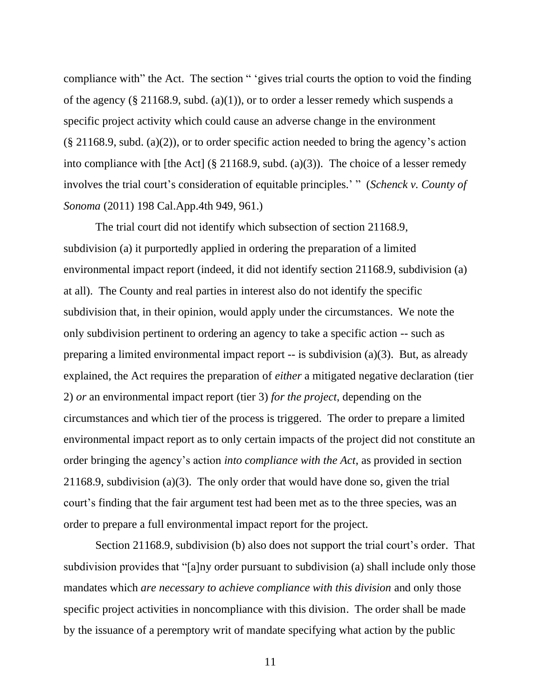compliance with" the Act. The section " 'gives trial courts the option to void the finding of the agency (§ 21168.9, subd. (a)(1)), or to order a lesser remedy which suspends a specific project activity which could cause an adverse change in the environment  $(\S 21168.9, \text{subd.} (a)(2))$ , or to order specific action needed to bring the agency's action into compliance with [the Act] (§ 21168.9, subd. (a)(3)). The choice of a lesser remedy involves the trial court's consideration of equitable principles.' " (*Schenck v. County of Sonoma* (2011) 198 Cal.App.4th 949, 961.)

The trial court did not identify which subsection of section 21168.9, subdivision (a) it purportedly applied in ordering the preparation of a limited environmental impact report (indeed, it did not identify section 21168.9, subdivision (a) at all). The County and real parties in interest also do not identify the specific subdivision that, in their opinion, would apply under the circumstances. We note the only subdivision pertinent to ordering an agency to take a specific action -- such as preparing a limited environmental impact report -- is subdivision (a)(3). But, as already explained, the Act requires the preparation of *either* a mitigated negative declaration (tier 2) *or* an environmental impact report (tier 3) *for the project*, depending on the circumstances and which tier of the process is triggered. The order to prepare a limited environmental impact report as to only certain impacts of the project did not constitute an order bringing the agency's action *into compliance with the Act*, as provided in section 21168.9, subdivision (a)(3). The only order that would have done so, given the trial court's finding that the fair argument test had been met as to the three species, was an order to prepare a full environmental impact report for the project.

Section 21168.9, subdivision (b) also does not support the trial court's order. That subdivision provides that "[a]ny order pursuant to subdivision (a) shall include only those mandates which *are necessary to achieve compliance with this division* and only those specific project activities in noncompliance with this division. The order shall be made by the issuance of a peremptory writ of mandate specifying what action by the public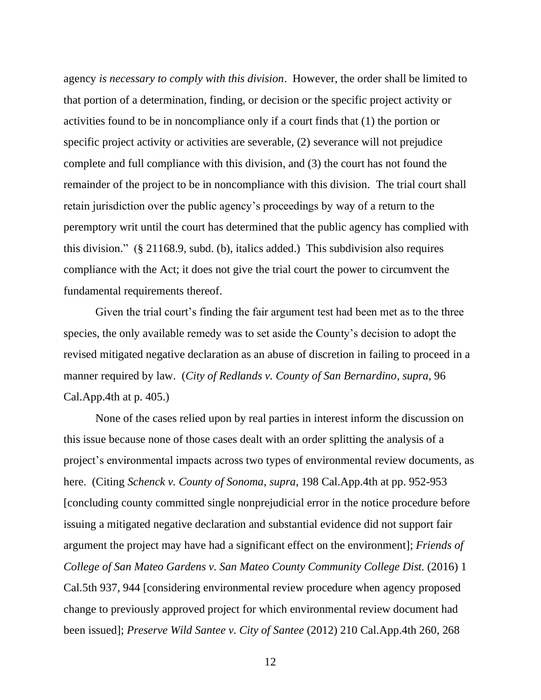agency *is necessary to comply with this division*. However, the order shall be limited to that portion of a determination, finding, or decision or the specific project activity or activities found to be in noncompliance only if a court finds that (1) the portion or specific project activity or activities are severable, (2) severance will not prejudice complete and full compliance with this division, and (3) the court has not found the remainder of the project to be in noncompliance with this division. The trial court shall retain jurisdiction over the public agency's proceedings by way of a return to the peremptory writ until the court has determined that the public agency has complied with this division." (§ 21168.9, subd. (b), italics added.) This subdivision also requires compliance with the Act; it does not give the trial court the power to circumvent the fundamental requirements thereof.

Given the trial court's finding the fair argument test had been met as to the three species, the only available remedy was to set aside the County's decision to adopt the revised mitigated negative declaration as an abuse of discretion in failing to proceed in a manner required by law. (*City of Redlands v. County of San Bernardino*, *supra*, 96 Cal.App.4th at p. 405.)

None of the cases relied upon by real parties in interest inform the discussion on this issue because none of those cases dealt with an order splitting the analysis of a project's environmental impacts across two types of environmental review documents, as here. (Citing *Schenck v. County of Sonoma*, *supra*, 198 Cal.App.4th at pp. 952-953 [concluding county committed single nonprejudicial error in the notice procedure before issuing a mitigated negative declaration and substantial evidence did not support fair argument the project may have had a significant effect on the environment]; *Friends of College of San Mateo Gardens v. San Mateo County Community College Dist.* (2016) 1 Cal.5th 937, 944 [considering environmental review procedure when agency proposed change to previously approved project for which environmental review document had been issued]; *Preserve Wild Santee v. City of Santee* (2012) 210 Cal.App.4th 260, 268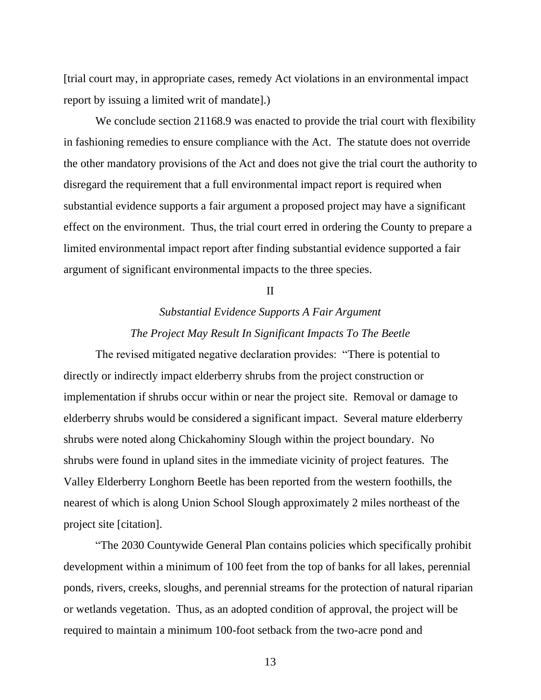[trial court may, in appropriate cases, remedy Act violations in an environmental impact report by issuing a limited writ of mandate].)

We conclude section 21168.9 was enacted to provide the trial court with flexibility in fashioning remedies to ensure compliance with the Act. The statute does not override the other mandatory provisions of the Act and does not give the trial court the authority to disregard the requirement that a full environmental impact report is required when substantial evidence supports a fair argument a proposed project may have a significant effect on the environment. Thus, the trial court erred in ordering the County to prepare a limited environmental impact report after finding substantial evidence supported a fair argument of significant environmental impacts to the three species.

II

## *Substantial Evidence Supports A Fair Argument The Project May Result In Significant Impacts To The Beetle*

The revised mitigated negative declaration provides: "There is potential to directly or indirectly impact elderberry shrubs from the project construction or implementation if shrubs occur within or near the project site. Removal or damage to elderberry shrubs would be considered a significant impact. Several mature elderberry shrubs were noted along Chickahominy Slough within the project boundary. No shrubs were found in upland sites in the immediate vicinity of project features. The Valley Elderberry Longhorn Beetle has been reported from the western foothills, the nearest of which is along Union School Slough approximately 2 miles northeast of the project site [citation].

"The 2030 Countywide General Plan contains policies which specifically prohibit development within a minimum of 100 feet from the top of banks for all lakes, perennial ponds, rivers, creeks, sloughs, and perennial streams for the protection of natural riparian or wetlands vegetation. Thus, as an adopted condition of approval, the project will be required to maintain a minimum 100-foot setback from the two-acre pond and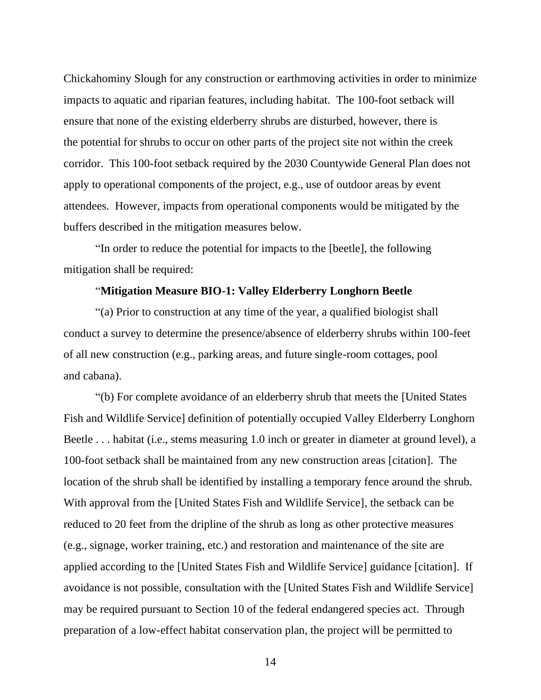Chickahominy Slough for any construction or earthmoving activities in order to minimize impacts to aquatic and riparian features, including habitat. The 100-foot setback will ensure that none of the existing elderberry shrubs are disturbed, however, there is the potential for shrubs to occur on other parts of the project site not within the creek corridor. This 100-foot setback required by the 2030 Countywide General Plan does not apply to operational components of the project, e.g., use of outdoor areas by event attendees. However, impacts from operational components would be mitigated by the buffers described in the mitigation measures below.

"In order to reduce the potential for impacts to the [beetle], the following mitigation shall be required:

#### "**Mitigation Measure BIO-1: Valley Elderberry Longhorn Beetle**

"(a) Prior to construction at any time of the year, a qualified biologist shall conduct a survey to determine the presence/absence of elderberry shrubs within 100-feet of all new construction (e.g., parking areas, and future single-room cottages, pool and cabana).

"(b) For complete avoidance of an elderberry shrub that meets the [United States Fish and Wildlife Service] definition of potentially occupied Valley Elderberry Longhorn Beetle . . . habitat (i.e., stems measuring 1.0 inch or greater in diameter at ground level), a 100-foot setback shall be maintained from any new construction areas [citation]. The location of the shrub shall be identified by installing a temporary fence around the shrub. With approval from the [United States Fish and Wildlife Service], the setback can be reduced to 20 feet from the dripline of the shrub as long as other protective measures (e.g., signage, worker training, etc.) and restoration and maintenance of the site are applied according to the [United States Fish and Wildlife Service] guidance [citation]. If avoidance is not possible, consultation with the [United States Fish and Wildlife Service] may be required pursuant to Section 10 of the federal endangered species act. Through preparation of a low-effect habitat conservation plan, the project will be permitted to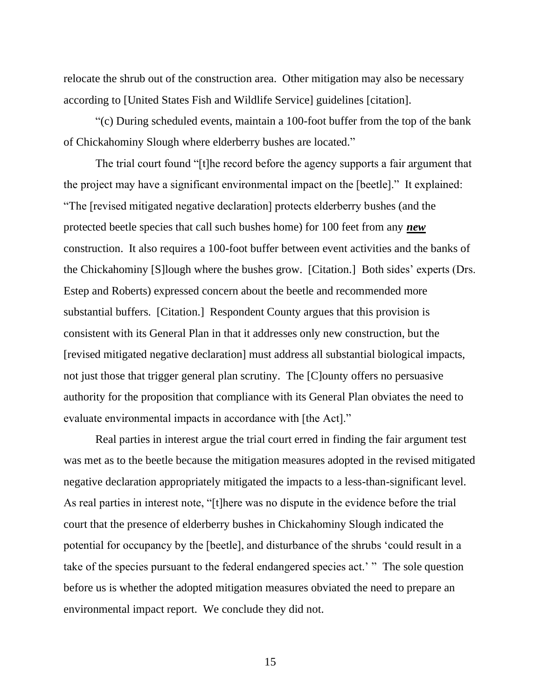relocate the shrub out of the construction area. Other mitigation may also be necessary according to [United States Fish and Wildlife Service] guidelines [citation].

"(c) During scheduled events, maintain a 100-foot buffer from the top of the bank of Chickahominy Slough where elderberry bushes are located."

The trial court found "[t]he record before the agency supports a fair argument that the project may have a significant environmental impact on the [beetle]." It explained: "The [revised mitigated negative declaration] protects elderberry bushes (and the protected beetle species that call such bushes home) for 100 feet from any *new* construction. It also requires a 100-foot buffer between event activities and the banks of the Chickahominy [S]lough where the bushes grow. [Citation.] Both sides' experts (Drs. Estep and Roberts) expressed concern about the beetle and recommended more substantial buffers. [Citation.] Respondent County argues that this provision is consistent with its General Plan in that it addresses only new construction, but the [revised mitigated negative declaration] must address all substantial biological impacts, not just those that trigger general plan scrutiny. The [C]ounty offers no persuasive authority for the proposition that compliance with its General Plan obviates the need to evaluate environmental impacts in accordance with [the Act]."

Real parties in interest argue the trial court erred in finding the fair argument test was met as to the beetle because the mitigation measures adopted in the revised mitigated negative declaration appropriately mitigated the impacts to a less-than-significant level. As real parties in interest note, "[t]here was no dispute in the evidence before the trial court that the presence of elderberry bushes in Chickahominy Slough indicated the potential for occupancy by the [beetle], and disturbance of the shrubs 'could result in a take of the species pursuant to the federal endangered species act.' " The sole question before us is whether the adopted mitigation measures obviated the need to prepare an environmental impact report. We conclude they did not.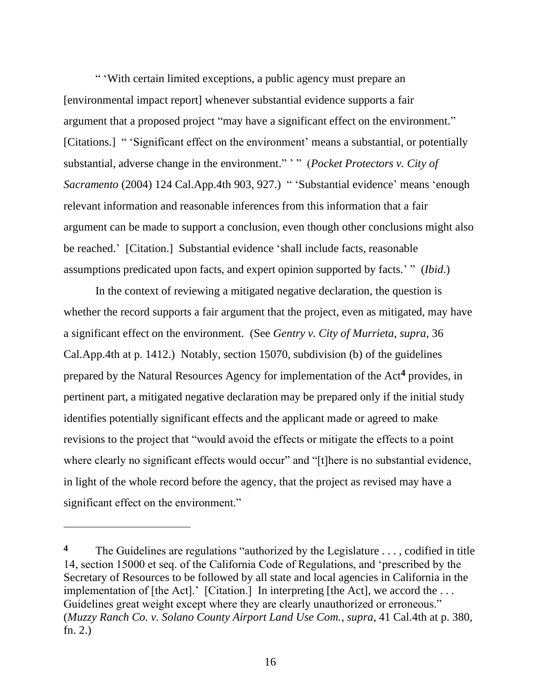" 'With certain limited exceptions, a public agency must prepare an [environmental impact report] whenever substantial evidence supports a fair argument that a proposed project "may have a significant effect on the environment." [Citations.] " 'Significant effect on the environment' means a substantial, or potentially substantial, adverse change in the environment." ' " (*Pocket Protectors v. City of Sacramento* (2004) 124 Cal.App.4th 903, 927.) " 'Substantial evidence' means 'enough relevant information and reasonable inferences from this information that a fair argument can be made to support a conclusion, even though other conclusions might also be reached.' [Citation.] Substantial evidence 'shall include facts, reasonable assumptions predicated upon facts, and expert opinion supported by facts.' " (*Ibid*.)

In the context of reviewing a mitigated negative declaration, the question is whether the record supports a fair argument that the project, even as mitigated, may have a significant effect on the environment. (See *Gentry v. City of Murrieta*, *supra*, 36 Cal.App.4th at p. 1412.) Notably, section 15070, subdivision (b) of the guidelines prepared by the Natural Resources Agency for implementation of the Act**<sup>4</sup>** provides, in pertinent part, a mitigated negative declaration may be prepared only if the initial study identifies potentially significant effects and the applicant made or agreed to make revisions to the project that "would avoid the effects or mitigate the effects to a point where clearly no significant effects would occur" and "[t]here is no substantial evidence, in light of the whole record before the agency, that the project as revised may have a significant effect on the environment."

<sup>&</sup>lt;sup>4</sup> The Guidelines are regulations "authorized by the Legislature ..., codified in title 14, section 15000 et seq. of the California Code of Regulations, and 'prescribed by the Secretary of Resources to be followed by all state and local agencies in California in the implementation of [the Act].' [Citation.] In interpreting [the Act], we accord the ... Guidelines great weight except where they are clearly unauthorized or erroneous." (*Muzzy Ranch Co. v. Solano County Airport Land Use Com.*, *supra*, 41 Cal.4th at p. 380, fn. 2.)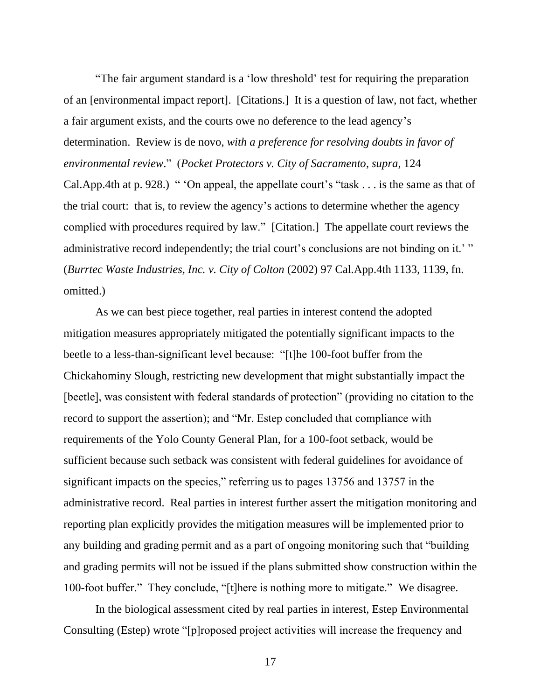"The fair argument standard is a 'low threshold' test for requiring the preparation of an [environmental impact report]. [Citations.] It is a question of law, not fact, whether a fair argument exists, and the courts owe no deference to the lead agency's determination. Review is de novo, *with a preference for resolving doubts in favor of environmental review*." (*Pocket Protectors v. City of Sacramento*, *supra*, 124 Cal.App.4th at p. 928.) " 'On appeal, the appellate court's "task . . . is the same as that of the trial court: that is, to review the agency's actions to determine whether the agency complied with procedures required by law." [Citation.] The appellate court reviews the administrative record independently; the trial court's conclusions are not binding on it.'" (*Burrtec Waste Industries, Inc. v. City of Colton* (2002) 97 Cal.App.4th 1133, 1139, fn. omitted.)

As we can best piece together, real parties in interest contend the adopted mitigation measures appropriately mitigated the potentially significant impacts to the beetle to a less-than-significant level because: "[t]he 100-foot buffer from the Chickahominy Slough, restricting new development that might substantially impact the [beetle], was consistent with federal standards of protection" (providing no citation to the record to support the assertion); and "Mr. Estep concluded that compliance with requirements of the Yolo County General Plan, for a 100-foot setback, would be sufficient because such setback was consistent with federal guidelines for avoidance of significant impacts on the species," referring us to pages 13756 and 13757 in the administrative record. Real parties in interest further assert the mitigation monitoring and reporting plan explicitly provides the mitigation measures will be implemented prior to any building and grading permit and as a part of ongoing monitoring such that "building and grading permits will not be issued if the plans submitted show construction within the 100-foot buffer." They conclude, "[t]here is nothing more to mitigate." We disagree.

In the biological assessment cited by real parties in interest, Estep Environmental Consulting (Estep) wrote "[p]roposed project activities will increase the frequency and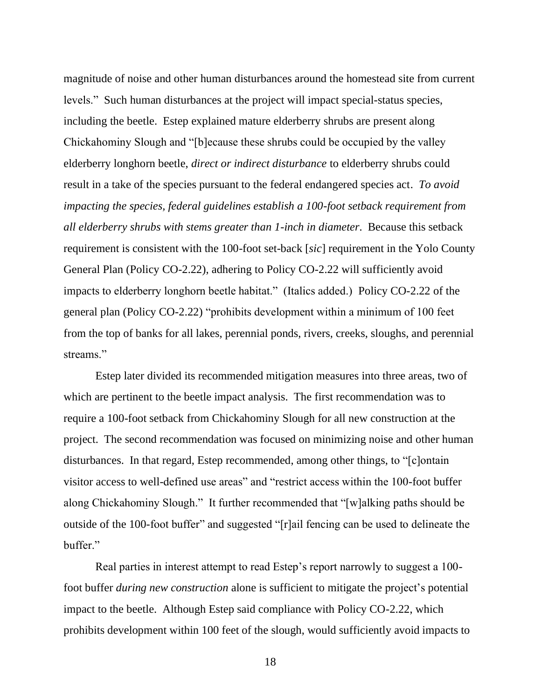magnitude of noise and other human disturbances around the homestead site from current levels." Such human disturbances at the project will impact special-status species, including the beetle. Estep explained mature elderberry shrubs are present along Chickahominy Slough and "[b]ecause these shrubs could be occupied by the valley elderberry longhorn beetle, *direct or indirect disturbance* to elderberry shrubs could result in a take of the species pursuant to the federal endangered species act. *To avoid impacting the species, federal guidelines establish a 100-foot setback requirement from all elderberry shrubs with stems greater than 1-inch in diameter*. Because this setback requirement is consistent with the 100-foot set-back [*sic*] requirement in the Yolo County General Plan (Policy CO-2.22), adhering to Policy CO-2.22 will sufficiently avoid impacts to elderberry longhorn beetle habitat." (Italics added.) Policy CO-2.22 of the general plan (Policy CO-2.22) "prohibits development within a minimum of 100 feet from the top of banks for all lakes, perennial ponds, rivers, creeks, sloughs, and perennial streams."

Estep later divided its recommended mitigation measures into three areas, two of which are pertinent to the beetle impact analysis. The first recommendation was to require a 100-foot setback from Chickahominy Slough for all new construction at the project. The second recommendation was focused on minimizing noise and other human disturbances. In that regard, Estep recommended, among other things, to "[c]ontain visitor access to well-defined use areas" and "restrict access within the 100-foot buffer along Chickahominy Slough." It further recommended that "[w]alking paths should be outside of the 100-foot buffer" and suggested "[r]ail fencing can be used to delineate the buffer."

Real parties in interest attempt to read Estep's report narrowly to suggest a 100 foot buffer *during new construction* alone is sufficient to mitigate the project's potential impact to the beetle. Although Estep said compliance with Policy CO-2.22, which prohibits development within 100 feet of the slough, would sufficiently avoid impacts to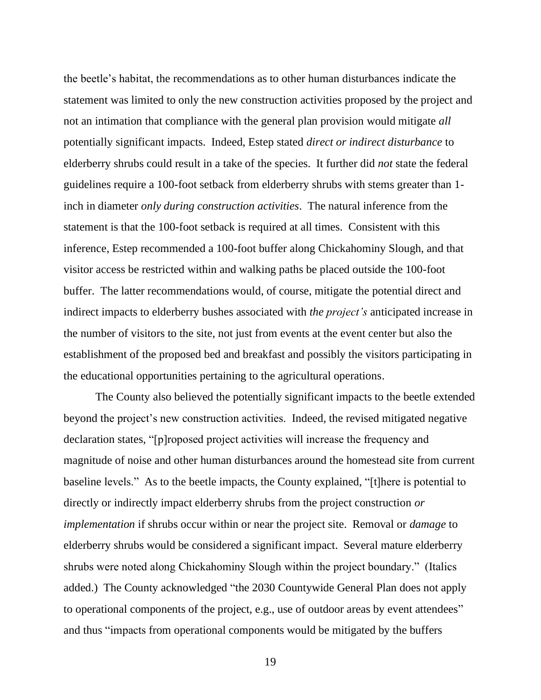the beetle's habitat, the recommendations as to other human disturbances indicate the statement was limited to only the new construction activities proposed by the project and not an intimation that compliance with the general plan provision would mitigate *all*  potentially significant impacts. Indeed, Estep stated *direct or indirect disturbance* to elderberry shrubs could result in a take of the species. It further did *not* state the federal guidelines require a 100-foot setback from elderberry shrubs with stems greater than 1 inch in diameter *only during construction activities*. The natural inference from the statement is that the 100-foot setback is required at all times. Consistent with this inference, Estep recommended a 100-foot buffer along Chickahominy Slough, and that visitor access be restricted within and walking paths be placed outside the 100-foot buffer. The latter recommendations would, of course, mitigate the potential direct and indirect impacts to elderberry bushes associated with *the project's* anticipated increase in the number of visitors to the site, not just from events at the event center but also the establishment of the proposed bed and breakfast and possibly the visitors participating in the educational opportunities pertaining to the agricultural operations.

The County also believed the potentially significant impacts to the beetle extended beyond the project's new construction activities. Indeed, the revised mitigated negative declaration states, "[p]roposed project activities will increase the frequency and magnitude of noise and other human disturbances around the homestead site from current baseline levels." As to the beetle impacts, the County explained, "[t]here is potential to directly or indirectly impact elderberry shrubs from the project construction *or implementation* if shrubs occur within or near the project site. Removal or *damage* to elderberry shrubs would be considered a significant impact. Several mature elderberry shrubs were noted along Chickahominy Slough within the project boundary." (Italics added.) The County acknowledged "the 2030 Countywide General Plan does not apply to operational components of the project, e.g., use of outdoor areas by event attendees" and thus "impacts from operational components would be mitigated by the buffers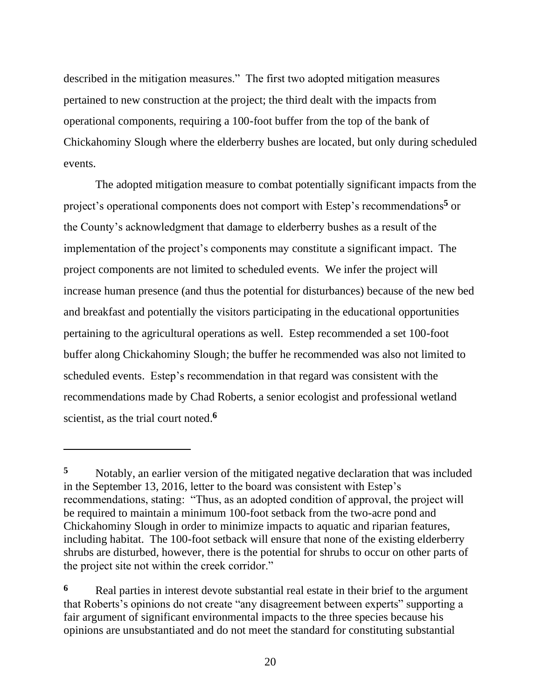described in the mitigation measures." The first two adopted mitigation measures pertained to new construction at the project; the third dealt with the impacts from operational components, requiring a 100-foot buffer from the top of the bank of Chickahominy Slough where the elderberry bushes are located, but only during scheduled events.

The adopted mitigation measure to combat potentially significant impacts from the project's operational components does not comport with Estep's recommendations**<sup>5</sup>** or the County's acknowledgment that damage to elderberry bushes as a result of the implementation of the project's components may constitute a significant impact. The project components are not limited to scheduled events. We infer the project will increase human presence (and thus the potential for disturbances) because of the new bed and breakfast and potentially the visitors participating in the educational opportunities pertaining to the agricultural operations as well. Estep recommended a set 100-foot buffer along Chickahominy Slough; the buffer he recommended was also not limited to scheduled events. Estep's recommendation in that regard was consistent with the recommendations made by Chad Roberts, a senior ecologist and professional wetland scientist, as the trial court noted. **6**

**<sup>5</sup>** Notably, an earlier version of the mitigated negative declaration that was included in the September 13, 2016, letter to the board was consistent with Estep's recommendations, stating: "Thus, as an adopted condition of approval, the project will be required to maintain a minimum 100-foot setback from the two-acre pond and Chickahominy Slough in order to minimize impacts to aquatic and riparian features, including habitat. The 100-foot setback will ensure that none of the existing elderberry shrubs are disturbed, however, there is the potential for shrubs to occur on other parts of the project site not within the creek corridor."

**<sup>6</sup>** Real parties in interest devote substantial real estate in their brief to the argument that Roberts's opinions do not create "any disagreement between experts" supporting a fair argument of significant environmental impacts to the three species because his opinions are unsubstantiated and do not meet the standard for constituting substantial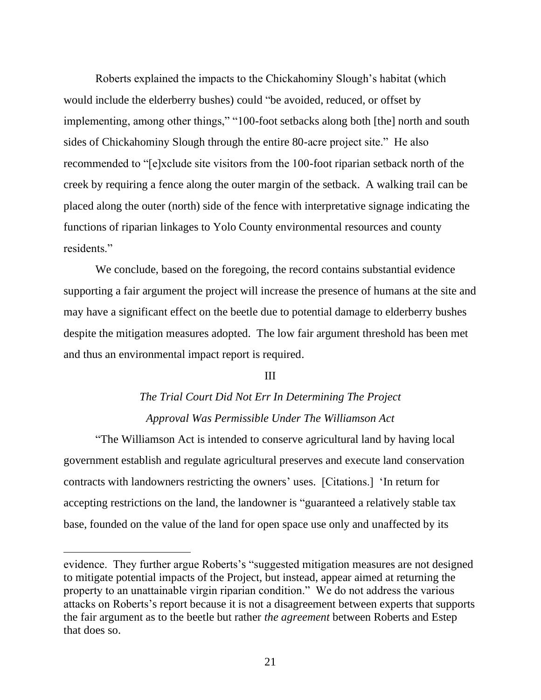Roberts explained the impacts to the Chickahominy Slough's habitat (which would include the elderberry bushes) could "be avoided, reduced, or offset by implementing, among other things," "100-foot setbacks along both [the] north and south sides of Chickahominy Slough through the entire 80-acre project site." He also recommended to "[e]xclude site visitors from the 100-foot riparian setback north of the creek by requiring a fence along the outer margin of the setback. A walking trail can be placed along the outer (north) side of the fence with interpretative signage indicating the functions of riparian linkages to Yolo County environmental resources and county residents."

We conclude, based on the foregoing, the record contains substantial evidence supporting a fair argument the project will increase the presence of humans at the site and may have a significant effect on the beetle due to potential damage to elderberry bushes despite the mitigation measures adopted. The low fair argument threshold has been met and thus an environmental impact report is required.

#### III

## *The Trial Court Did Not Err In Determining The Project Approval Was Permissible Under The Williamson Act*

"The Williamson Act is intended to conserve agricultural land by having local government establish and regulate agricultural preserves and execute land conservation contracts with landowners restricting the owners' uses. [Citations.] 'In return for accepting restrictions on the land, the landowner is "guaranteed a relatively stable tax base, founded on the value of the land for open space use only and unaffected by its

evidence. They further argue Roberts's "suggested mitigation measures are not designed to mitigate potential impacts of the Project, but instead, appear aimed at returning the property to an unattainable virgin riparian condition." We do not address the various attacks on Roberts's report because it is not a disagreement between experts that supports the fair argument as to the beetle but rather *the agreement* between Roberts and Estep that does so.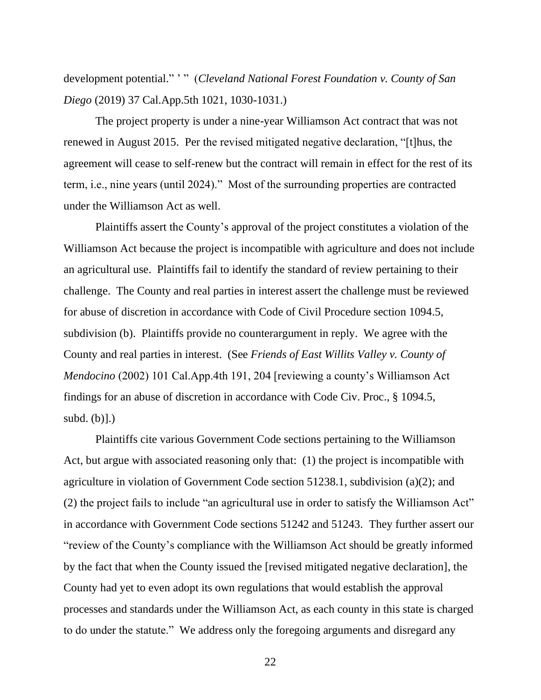development potential." ' " (*Cleveland National Forest Foundation v. County of San Diego* (2019) 37 Cal.App.5th 1021, 1030-1031.)

The project property is under a nine-year Williamson Act contract that was not renewed in August 2015. Per the revised mitigated negative declaration, "[t]hus, the agreement will cease to self-renew but the contract will remain in effect for the rest of its term, i.e., nine years (until 2024)." Most of the surrounding properties are contracted under the Williamson Act as well.

Plaintiffs assert the County's approval of the project constitutes a violation of the Williamson Act because the project is incompatible with agriculture and does not include an agricultural use. Plaintiffs fail to identify the standard of review pertaining to their challenge. The County and real parties in interest assert the challenge must be reviewed for abuse of discretion in accordance with Code of Civil Procedure section 1094.5, subdivision (b). Plaintiffs provide no counterargument in reply. We agree with the County and real parties in interest. (See *Friends of East Willits Valley v. County of Mendocino* (2002) 101 Cal.App.4th 191, 204 [reviewing a county's Williamson Act findings for an abuse of discretion in accordance with Code Civ. Proc., § 1094.5, subd. (b)].)

Plaintiffs cite various Government Code sections pertaining to the Williamson Act, but argue with associated reasoning only that: (1) the project is incompatible with agriculture in violation of Government Code section 51238.1, subdivision (a)(2); and (2) the project fails to include "an agricultural use in order to satisfy the Williamson Act" in accordance with Government Code sections 51242 and 51243. They further assert our "review of the County's compliance with the Williamson Act should be greatly informed by the fact that when the County issued the [revised mitigated negative declaration], the County had yet to even adopt its own regulations that would establish the approval processes and standards under the Williamson Act, as each county in this state is charged to do under the statute." We address only the foregoing arguments and disregard any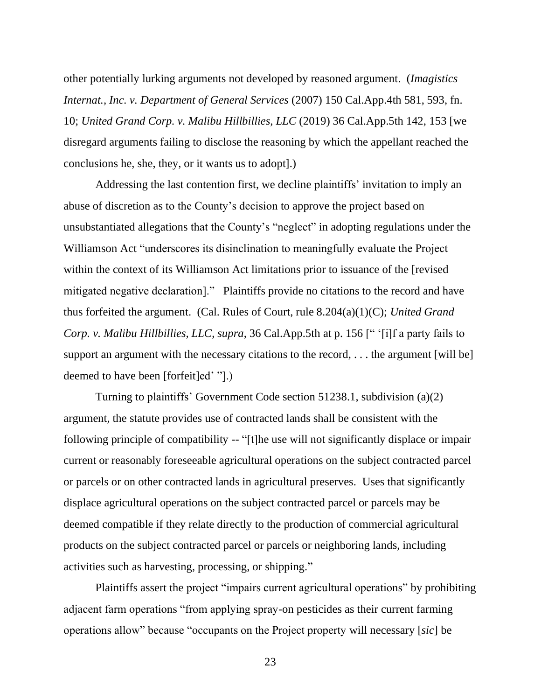other potentially lurking arguments not developed by reasoned argument. (*Imagistics Internat., Inc. v. Department of General Services* (2007) 150 Cal.App.4th 581, 593, fn. 10; *United Grand Corp. v. Malibu Hillbillies, LLC* (2019) 36 Cal.App.5th 142, 153 [we disregard arguments failing to disclose the reasoning by which the appellant reached the conclusions he, she, they, or it wants us to adopt].)

Addressing the last contention first, we decline plaintiffs' invitation to imply an abuse of discretion as to the County's decision to approve the project based on unsubstantiated allegations that the County's "neglect" in adopting regulations under the Williamson Act "underscores its disinclination to meaningfully evaluate the Project within the context of its Williamson Act limitations prior to issuance of the [revised mitigated negative declaration]." Plaintiffs provide no citations to the record and have thus forfeited the argument. (Cal. Rules of Court, rule 8.204(a)(1)(C); *United Grand Corp. v. Malibu Hillbillies, LLC*, *supra*, 36 Cal.App.5th at p. 156 [" '[i]f a party fails to support an argument with the necessary citations to the record, ... the argument [will be] deemed to have been [forfeit]ed' "].)

Turning to plaintiffs' Government Code section 51238.1, subdivision (a)(2) argument, the statute provides use of contracted lands shall be consistent with the following principle of compatibility -- "[t]he use will not significantly displace or impair current or reasonably foreseeable agricultural operations on the subject contracted parcel or parcels or on other contracted lands in agricultural preserves. Uses that significantly displace agricultural operations on the subject contracted parcel or parcels may be deemed compatible if they relate directly to the production of commercial agricultural products on the subject contracted parcel or parcels or neighboring lands, including activities such as harvesting, processing, or shipping."

Plaintiffs assert the project "impairs current agricultural operations" by prohibiting adjacent farm operations "from applying spray-on pesticides as their current farming operations allow" because "occupants on the Project property will necessary [*sic*] be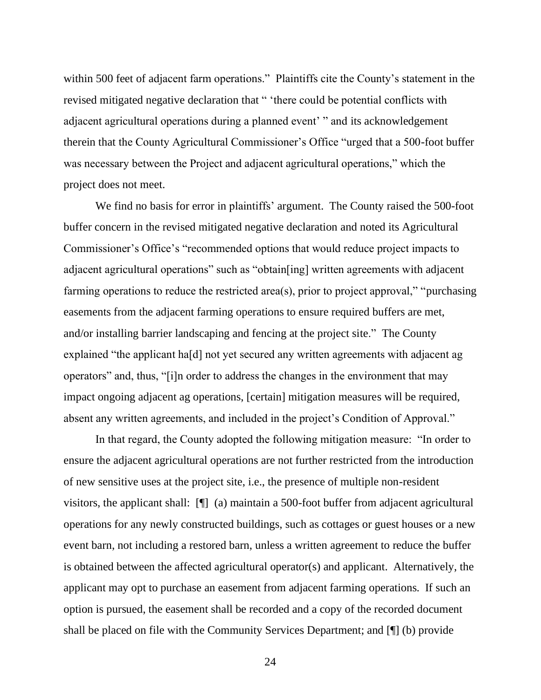within 500 feet of adjacent farm operations." Plaintiffs cite the County's statement in the revised mitigated negative declaration that " 'there could be potential conflicts with adjacent agricultural operations during a planned event' " and its acknowledgement therein that the County Agricultural Commissioner's Office "urged that a 500-foot buffer was necessary between the Project and adjacent agricultural operations," which the project does not meet.

We find no basis for error in plaintiffs' argument. The County raised the 500-foot buffer concern in the revised mitigated negative declaration and noted its Agricultural Commissioner's Office's "recommended options that would reduce project impacts to adjacent agricultural operations" such as "obtain[ing] written agreements with adjacent farming operations to reduce the restricted area(s), prior to project approval," "purchasing easements from the adjacent farming operations to ensure required buffers are met, and/or installing barrier landscaping and fencing at the project site." The County explained "the applicant ha[d] not yet secured any written agreements with adjacent ag operators" and, thus, "[i]n order to address the changes in the environment that may impact ongoing adjacent ag operations, [certain] mitigation measures will be required, absent any written agreements, and included in the project's Condition of Approval."

In that regard, the County adopted the following mitigation measure: "In order to ensure the adjacent agricultural operations are not further restricted from the introduction of new sensitive uses at the project site, i.e., the presence of multiple non-resident visitors, the applicant shall: [¶] (a) maintain a 500-foot buffer from adjacent agricultural operations for any newly constructed buildings, such as cottages or guest houses or a new event barn, not including a restored barn, unless a written agreement to reduce the buffer is obtained between the affected agricultural operator(s) and applicant. Alternatively, the applicant may opt to purchase an easement from adjacent farming operations. If such an option is pursued, the easement shall be recorded and a copy of the recorded document shall be placed on file with the Community Services Department; and [¶] (b) provide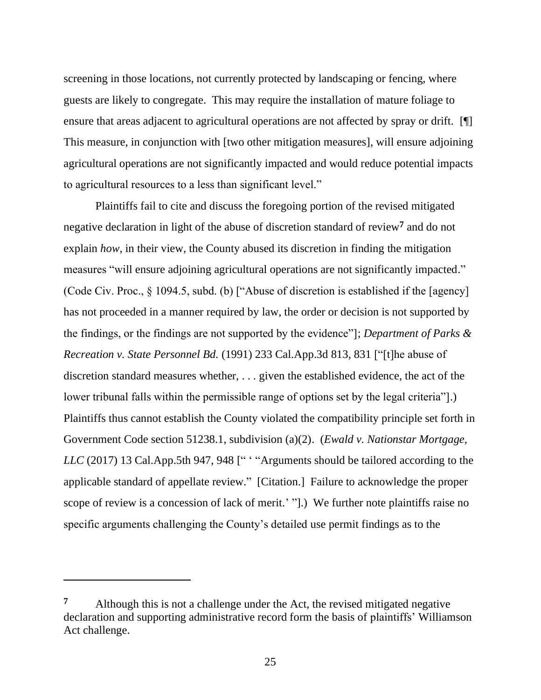screening in those locations, not currently protected by landscaping or fencing, where guests are likely to congregate. This may require the installation of mature foliage to ensure that areas adjacent to agricultural operations are not affected by spray or drift. [ This measure, in conjunction with [two other mitigation measures], will ensure adjoining agricultural operations are not significantly impacted and would reduce potential impacts to agricultural resources to a less than significant level."

Plaintiffs fail to cite and discuss the foregoing portion of the revised mitigated negative declaration in light of the abuse of discretion standard of review**<sup>7</sup>** and do not explain *how*, in their view, the County abused its discretion in finding the mitigation measures "will ensure adjoining agricultural operations are not significantly impacted." (Code Civ. Proc., § 1094.5, subd. (b) ["Abuse of discretion is established if the [agency] has not proceeded in a manner required by law, the order or decision is not supported by the findings, or the findings are not supported by the evidence"]; *Department of Parks & Recreation v. State Personnel Bd.* (1991) 233 Cal.App.3d 813, 831 ["[t]he abuse of discretion standard measures whether, . . . given the established evidence, the act of the lower tribunal falls within the permissible range of options set by the legal criteria"].) Plaintiffs thus cannot establish the County violated the compatibility principle set forth in Government Code section 51238.1, subdivision (a)(2). (*Ewald v. Nationstar Mortgage, LLC* (2017) 13 Cal.App.5th 947, 948 [" ' "Arguments should be tailored according to the applicable standard of appellate review." [Citation.] Failure to acknowledge the proper scope of review is a concession of lack of merit.' "].) We further note plaintiffs raise no specific arguments challenging the County's detailed use permit findings as to the

**<sup>7</sup>** Although this is not a challenge under the Act, the revised mitigated negative declaration and supporting administrative record form the basis of plaintiffs' Williamson Act challenge.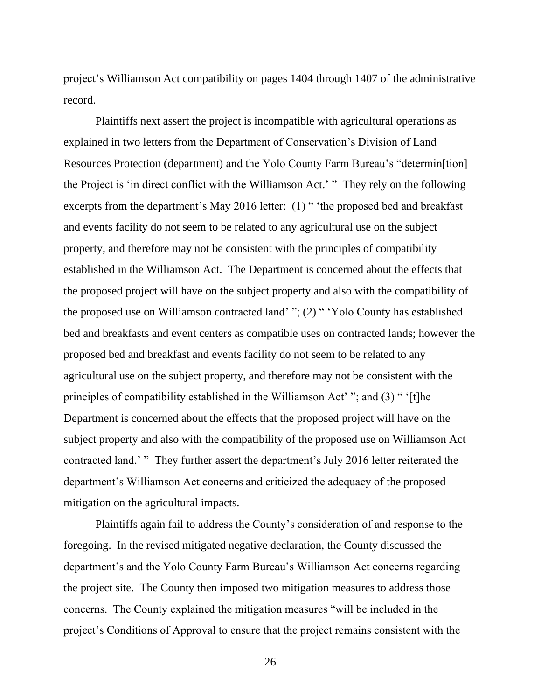project's Williamson Act compatibility on pages 1404 through 1407 of the administrative record.

Plaintiffs next assert the project is incompatible with agricultural operations as explained in two letters from the Department of Conservation's Division of Land Resources Protection (department) and the Yolo County Farm Bureau's "determin[tion] the Project is 'in direct conflict with the Williamson Act.' " They rely on the following excerpts from the department's May 2016 letter: (1) " 'the proposed bed and breakfast and events facility do not seem to be related to any agricultural use on the subject property, and therefore may not be consistent with the principles of compatibility established in the Williamson Act. The Department is concerned about the effects that the proposed project will have on the subject property and also with the compatibility of the proposed use on Williamson contracted land' "; (2) " 'Yolo County has established bed and breakfasts and event centers as compatible uses on contracted lands; however the proposed bed and breakfast and events facility do not seem to be related to any agricultural use on the subject property, and therefore may not be consistent with the principles of compatibility established in the Williamson Act' "; and (3) " '[t]he Department is concerned about the effects that the proposed project will have on the subject property and also with the compatibility of the proposed use on Williamson Act contracted land.' " They further assert the department's July 2016 letter reiterated the department's Williamson Act concerns and criticized the adequacy of the proposed mitigation on the agricultural impacts.

Plaintiffs again fail to address the County's consideration of and response to the foregoing. In the revised mitigated negative declaration, the County discussed the department's and the Yolo County Farm Bureau's Williamson Act concerns regarding the project site. The County then imposed two mitigation measures to address those concerns. The County explained the mitigation measures "will be included in the project's Conditions of Approval to ensure that the project remains consistent with the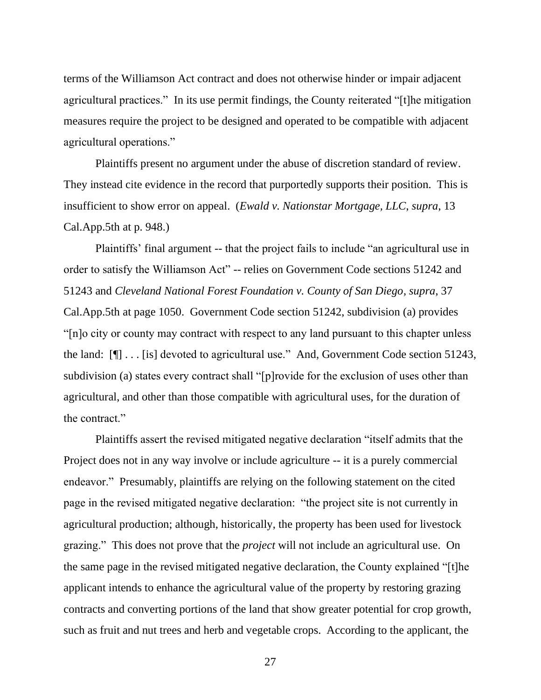terms of the Williamson Act contract and does not otherwise hinder or impair adjacent agricultural practices." In its use permit findings, the County reiterated "[t]he mitigation measures require the project to be designed and operated to be compatible with adjacent agricultural operations."

Plaintiffs present no argument under the abuse of discretion standard of review. They instead cite evidence in the record that purportedly supports their position. This is insufficient to show error on appeal. (*Ewald v. Nationstar Mortgage, LLC*, *supra*, 13 Cal.App.5th at p. 948.)

Plaintiffs' final argument -- that the project fails to include "an agricultural use in order to satisfy the Williamson Act" -- relies on Government Code sections 51242 and 51243 and *Cleveland National Forest Foundation v. County of San Diego*, *supra*, 37 Cal.App.5th at page 1050. Government Code section 51242, subdivision (a) provides "[n]o city or county may contract with respect to any land pursuant to this chapter unless the land: [¶] . . . [is] devoted to agricultural use." And, Government Code section 51243, subdivision (a) states every contract shall "[p]rovide for the exclusion of uses other than agricultural, and other than those compatible with agricultural uses, for the duration of the contract."

Plaintiffs assert the revised mitigated negative declaration "itself admits that the Project does not in any way involve or include agriculture -- it is a purely commercial endeavor." Presumably, plaintiffs are relying on the following statement on the cited page in the revised mitigated negative declaration: "the project site is not currently in agricultural production; although, historically, the property has been used for livestock grazing." This does not prove that the *project* will not include an agricultural use. On the same page in the revised mitigated negative declaration, the County explained "[t]he applicant intends to enhance the agricultural value of the property by restoring grazing contracts and converting portions of the land that show greater potential for crop growth, such as fruit and nut trees and herb and vegetable crops. According to the applicant, the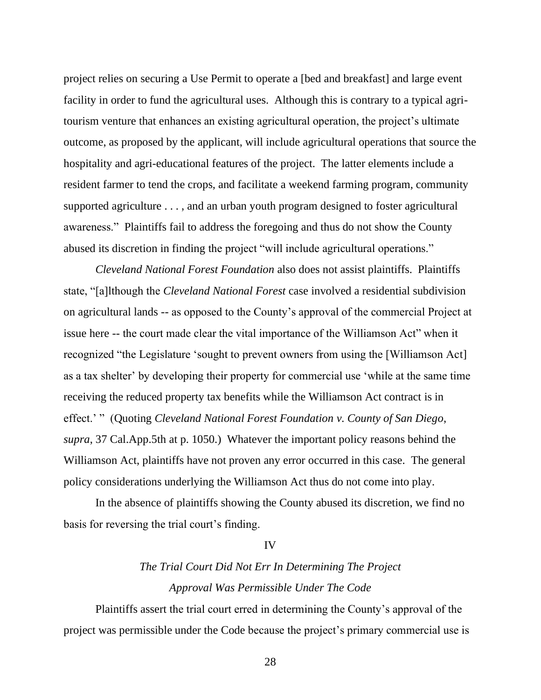project relies on securing a Use Permit to operate a [bed and breakfast] and large event facility in order to fund the agricultural uses. Although this is contrary to a typical agritourism venture that enhances an existing agricultural operation, the project's ultimate outcome, as proposed by the applicant, will include agricultural operations that source the hospitality and agri-educational features of the project. The latter elements include a resident farmer to tend the crops, and facilitate a weekend farming program, community supported agriculture . . . , and an urban youth program designed to foster agricultural awareness." Plaintiffs fail to address the foregoing and thus do not show the County abused its discretion in finding the project "will include agricultural operations."

*Cleveland National Forest Foundation* also does not assist plaintiffs. Plaintiffs state, "[a]lthough the *Cleveland National Forest* case involved a residential subdivision on agricultural lands -- as opposed to the County's approval of the commercial Project at issue here -- the court made clear the vital importance of the Williamson Act" when it recognized "the Legislature 'sought to prevent owners from using the [Williamson Act] as a tax shelter' by developing their property for commercial use 'while at the same time receiving the reduced property tax benefits while the Williamson Act contract is in effect.' " (Quoting *Cleveland National Forest Foundation v. County of San Diego*, *supra*, 37 Cal.App.5th at p. 1050.) Whatever the important policy reasons behind the Williamson Act, plaintiffs have not proven any error occurred in this case. The general policy considerations underlying the Williamson Act thus do not come into play.

In the absence of plaintiffs showing the County abused its discretion, we find no basis for reversing the trial court's finding.

#### IV

## *The Trial Court Did Not Err In Determining The Project Approval Was Permissible Under The Code*

Plaintiffs assert the trial court erred in determining the County's approval of the project was permissible under the Code because the project's primary commercial use is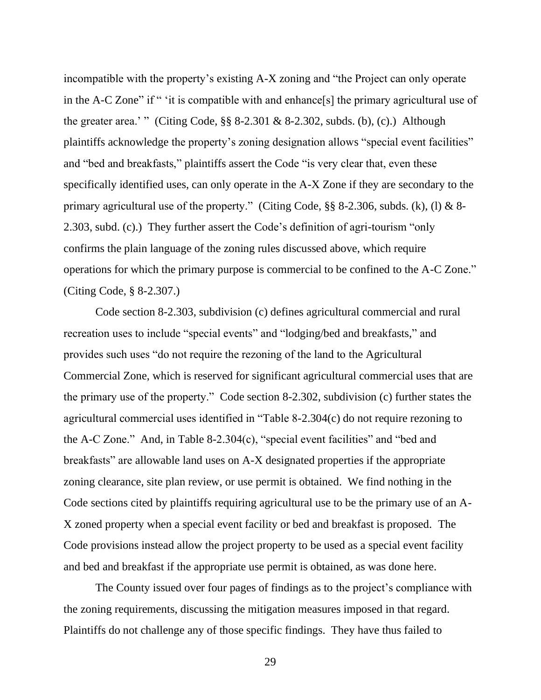incompatible with the property's existing A-X zoning and "the Project can only operate in the A-C Zone" if " 'it is compatible with and enhance[s] the primary agricultural use of the greater area.' " (Citing Code,  $\S$ § 8-2.301 & 8-2.302, subds. (b), (c).) Although plaintiffs acknowledge the property's zoning designation allows "special event facilities" and "bed and breakfasts," plaintiffs assert the Code "is very clear that, even these specifically identified uses, can only operate in the A-X Zone if they are secondary to the primary agricultural use of the property." (Citing Code,  $\S$ § 8-2.306, subds. (k), (l) & 8-2.303, subd. (c).) They further assert the Code's definition of agri-tourism "only confirms the plain language of the zoning rules discussed above, which require operations for which the primary purpose is commercial to be confined to the A-C Zone." (Citing Code, § 8-2.307.)

Code section 8-2.303, subdivision (c) defines agricultural commercial and rural recreation uses to include "special events" and "lodging/bed and breakfasts," and provides such uses "do not require the rezoning of the land to the Agricultural Commercial Zone, which is reserved for significant agricultural commercial uses that are the primary use of the property." Code section 8-2.302, subdivision (c) further states the agricultural commercial uses identified in "Table 8-2.304(c) do not require rezoning to the A-C Zone." And, in Table 8-2.304(c), "special event facilities" and "bed and breakfasts" are allowable land uses on A-X designated properties if the appropriate zoning clearance, site plan review, or use permit is obtained. We find nothing in the Code sections cited by plaintiffs requiring agricultural use to be the primary use of an A-X zoned property when a special event facility or bed and breakfast is proposed. The Code provisions instead allow the project property to be used as a special event facility and bed and breakfast if the appropriate use permit is obtained, as was done here.

The County issued over four pages of findings as to the project's compliance with the zoning requirements, discussing the mitigation measures imposed in that regard. Plaintiffs do not challenge any of those specific findings. They have thus failed to